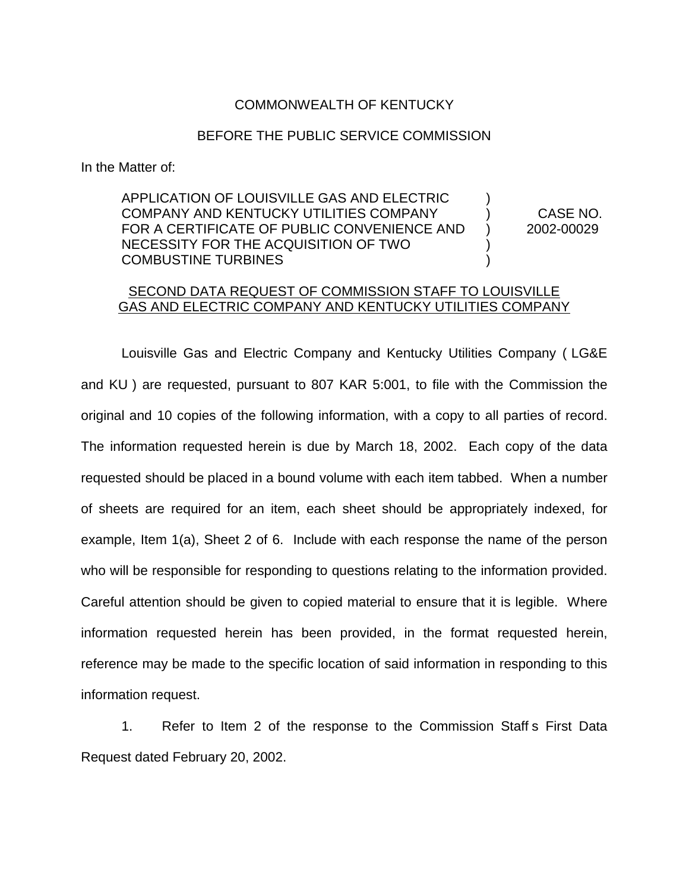## COMMONWEALTH OF KENTUCKY

## BEFORE THE PUBLIC SERVICE COMMISSION

In the Matter of:

APPLICATION OF LOUISVILLE GAS AND ELECTRIC ) COMPANY AND KENTUCKY UTILITIES COMPANY ) CASE NO. FOR A CERTIFICATE OF PUBLIC CONVENIENCE AND ) 2002-00029 NECESSITY FOR THE ACQUISITION OF TWO ) COMBUSTINE TURBINES )

## SECOND DATA REQUEST OF COMMISSION STAFF TO LOUISVILLE GAS AND ELECTRIC COMPANY AND KENTUCKY UTILITIES COMPANY

Louisville Gas and Electric Company and Kentucky Utilities Company ( LG&E and KU ) are requested, pursuant to 807 KAR 5:001, to file with the Commission the original and 10 copies of the following information, with a copy to all parties of record. The information requested herein is due by March 18, 2002. Each copy of the data requested should be placed in a bound volume with each item tabbed. When a number of sheets are required for an item, each sheet should be appropriately indexed, for example, Item 1(a), Sheet 2 of 6. Include with each response the name of the person who will be responsible for responding to questions relating to the information provided. Careful attention should be given to copied material to ensure that it is legible. Where information requested herein has been provided, in the format requested herein, reference may be made to the specific location of said information in responding to this information request.

1. Refer to Item 2 of the response to the Commission Staff s First Data Request dated February 20, 2002.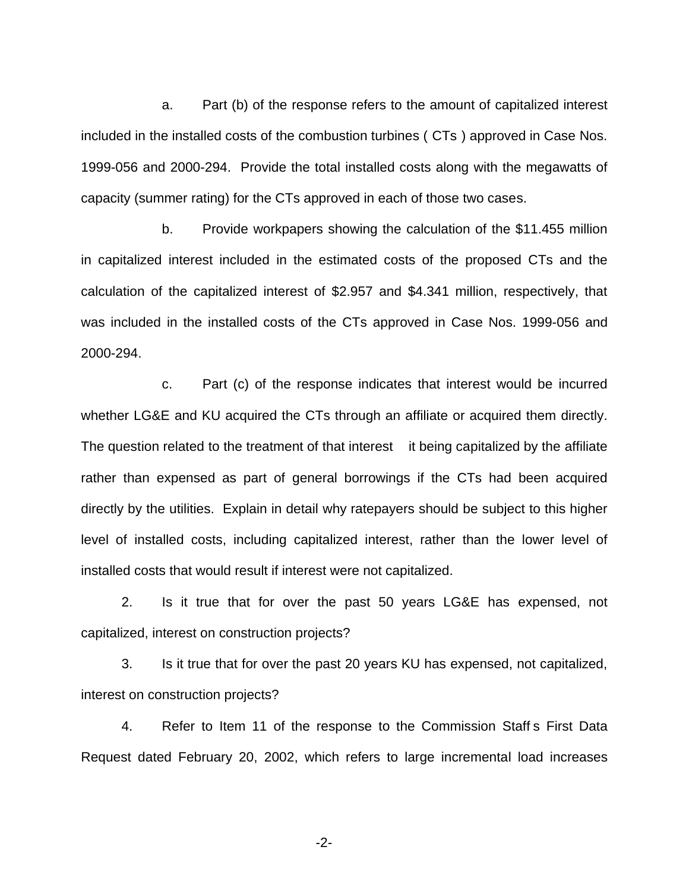a. Part (b) of the response refers to the amount of capitalized interest included in the installed costs of the combustion turbines ( CTs ) approved in Case Nos. 1999-056 and 2000-294. Provide the total installed costs along with the megawatts of capacity (summer rating) for the CTs approved in each of those two cases.

b. Provide workpapers showing the calculation of the \$11.455 million in capitalized interest included in the estimated costs of the proposed CTs and the calculation of the capitalized interest of \$2.957 and \$4.341 million, respectively, that was included in the installed costs of the CTs approved in Case Nos. 1999-056 and 2000-294.

c. Part (c) of the response indicates that interest would be incurred whether LG&E and KU acquired the CTs through an affiliate or acquired them directly. The question related to the treatment of that interest it being capitalized by the affiliate rather than expensed as part of general borrowings if the CTs had been acquired directly by the utilities. Explain in detail why ratepayers should be subject to this higher level of installed costs, including capitalized interest, rather than the lower level of installed costs that would result if interest were not capitalized.

2. Is it true that for over the past 50 years LG&E has expensed, not capitalized, interest on construction projects?

3. Is it true that for over the past 20 years KU has expensed, not capitalized, interest on construction projects?

4. Refer to Item 11 of the response to the Commission Staff s First Data Request dated February 20, 2002, which refers to large incremental load increases

-2-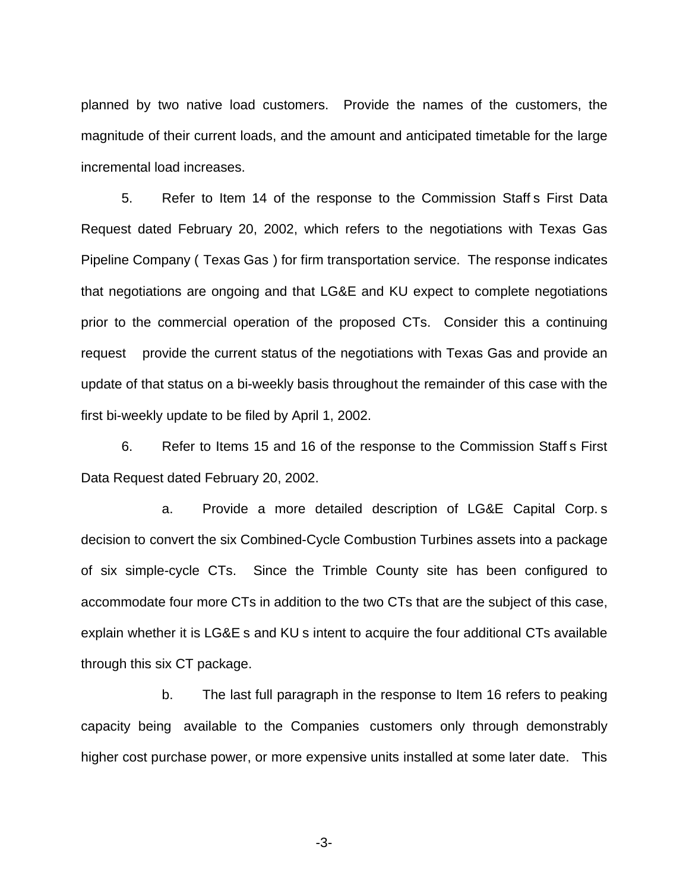planned by two native load customers. Provide the names of the customers, the magnitude of their current loads, and the amount and anticipated timetable for the large incremental load increases.

5. Refer to Item 14 of the response to the Commission Staff s First Data Request dated February 20, 2002, which refers to the negotiations with Texas Gas Pipeline Company ( Texas Gas ) for firm transportation service. The response indicates that negotiations are ongoing and that LG&E and KU expect to complete negotiations prior to the commercial operation of the proposed CTs. Consider this a continuing request provide the current status of the negotiations with Texas Gas and provide an update of that status on a bi-weekly basis throughout the remainder of this case with the first bi-weekly update to be filed by April 1, 2002.

6. Refer to Items 15 and 16 of the response to the Commission Staff s First Data Request dated February 20, 2002.

a. Provide a more detailed description of LG&E Capital Corp. s decision to convert the six Combined-Cycle Combustion Turbines assets into a package of six simple-cycle CTs. Since the Trimble County site has been configured to accommodate four more CTs in addition to the two CTs that are the subject of this case, explain whether it is LG&E s and KU s intent to acquire the four additional CTs available through this six CT package.

b. The last full paragraph in the response to Item 16 refers to peaking capacity being available to the Companies customers only through demonstrably higher cost purchase power, or more expensive units installed at some later date. This

-3-